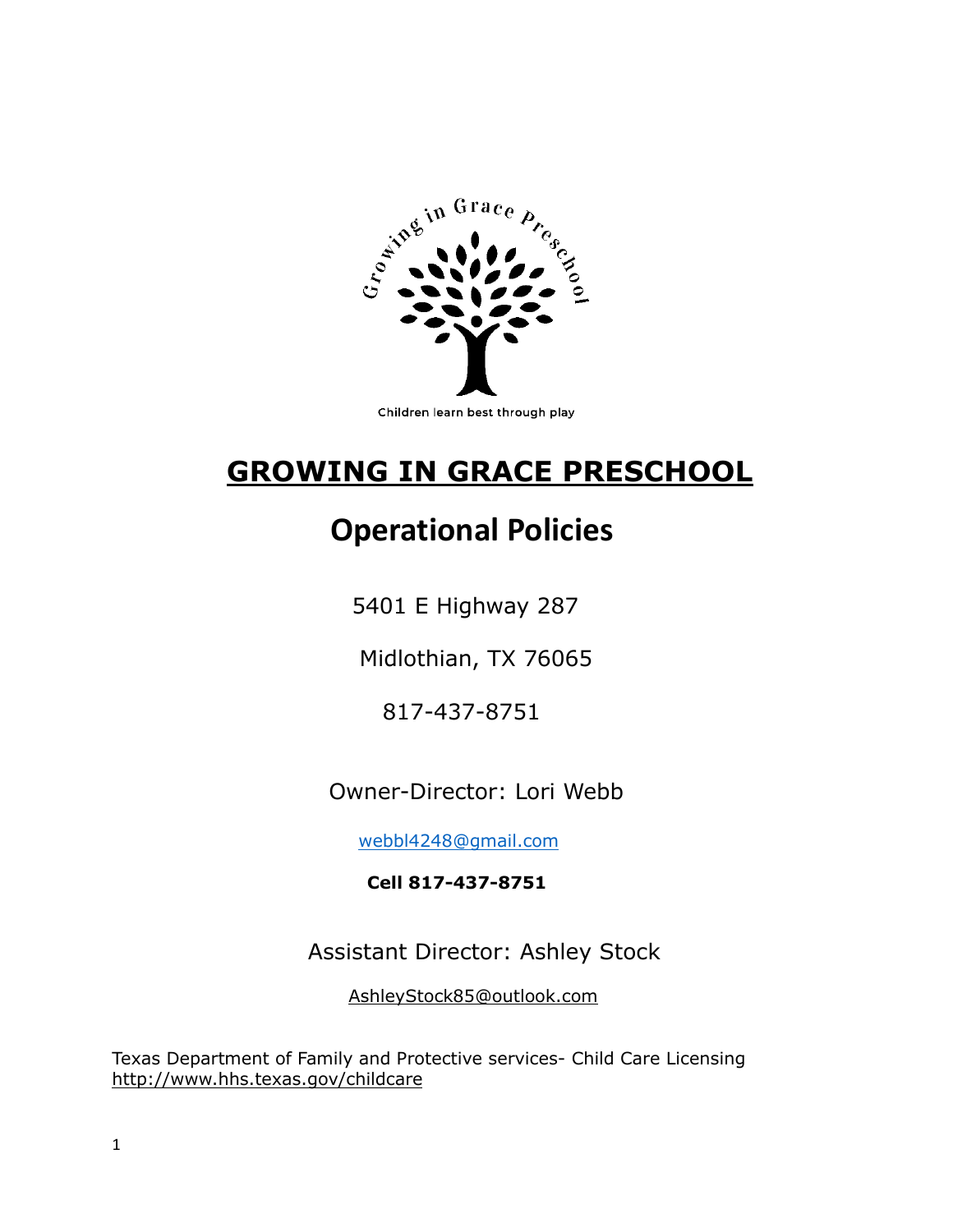

# **GROWING IN GRACE PRESCHOOL**

# **Operational Policies**

5401 E Highway 287

Midlothian, TX 76065

817-437-8751

Owner-Director: Lori Webb

[webbl4248@gmail.com](mailto:webbl4248@gmail.com)

 **Cell 817-437-8751**

Assistant Director: Ashley Stock

AshleyStock85@outlook.com

Texas Department of Family and Protective services- Child Care Licensing http://www.hhs.texas.gov/childcare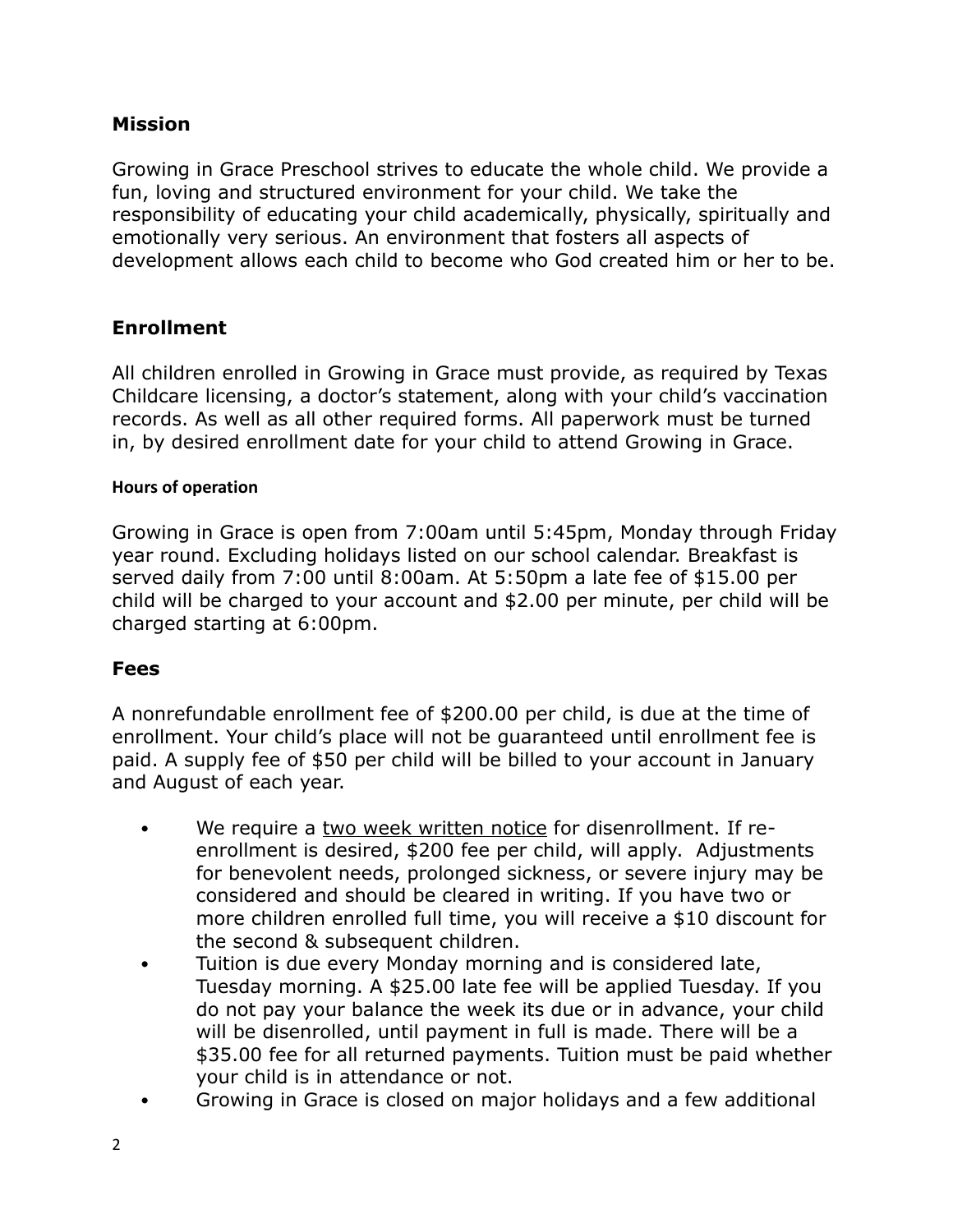# **Mission**

Growing in Grace Preschool strives to educate the whole child. We provide a fun, loving and structured environment for your child. We take the responsibility of educating your child academically, physically, spiritually and emotionally very serious. An environment that fosters all aspects of development allows each child to become who God created him or her to be.

# **Enrollment**

All children enrolled in Growing in Grace must provide, as required by Texas Childcare licensing, a doctor's statement, along with your child's vaccination records. As well as all other required forms. All paperwork must be turned in, by desired enrollment date for your child to attend Growing in Grace.

## **Hours of operation**

Growing in Grace is open from 7:00am until 5:45pm, Monday through Friday year round. Excluding holidays listed on our school calendar. Breakfast is served daily from 7:00 until 8:00am. At 5:50pm a late fee of \$15.00 per child will be charged to your account and \$2.00 per minute, per child will be charged starting at 6:00pm.

## **Fees**

A nonrefundable enrollment fee of \$200.00 per child, is due at the time of enrollment. Your child's place will not be guaranteed until enrollment fee is paid. A supply fee of \$50 per child will be billed to your account in January and August of each year.

- We require a two week written notice for disenrollment. If reenrollment is desired, \$200 fee per child, will apply. Adjustments for benevolent needs, prolonged sickness, or severe injury may be considered and should be cleared in writing. If you have two or more children enrolled full time, you will receive a \$10 discount for the second & subsequent children.
- Tuition is due every Monday morning and is considered late, Tuesday morning. A \$25.00 late fee will be applied Tuesday. If you do not pay your balance the week its due or in advance, your child will be disenrolled, until payment in full is made. There will be a \$35.00 fee for all returned payments. Tuition must be paid whether your child is in attendance or not.
- Growing in Grace is closed on major holidays and a few additional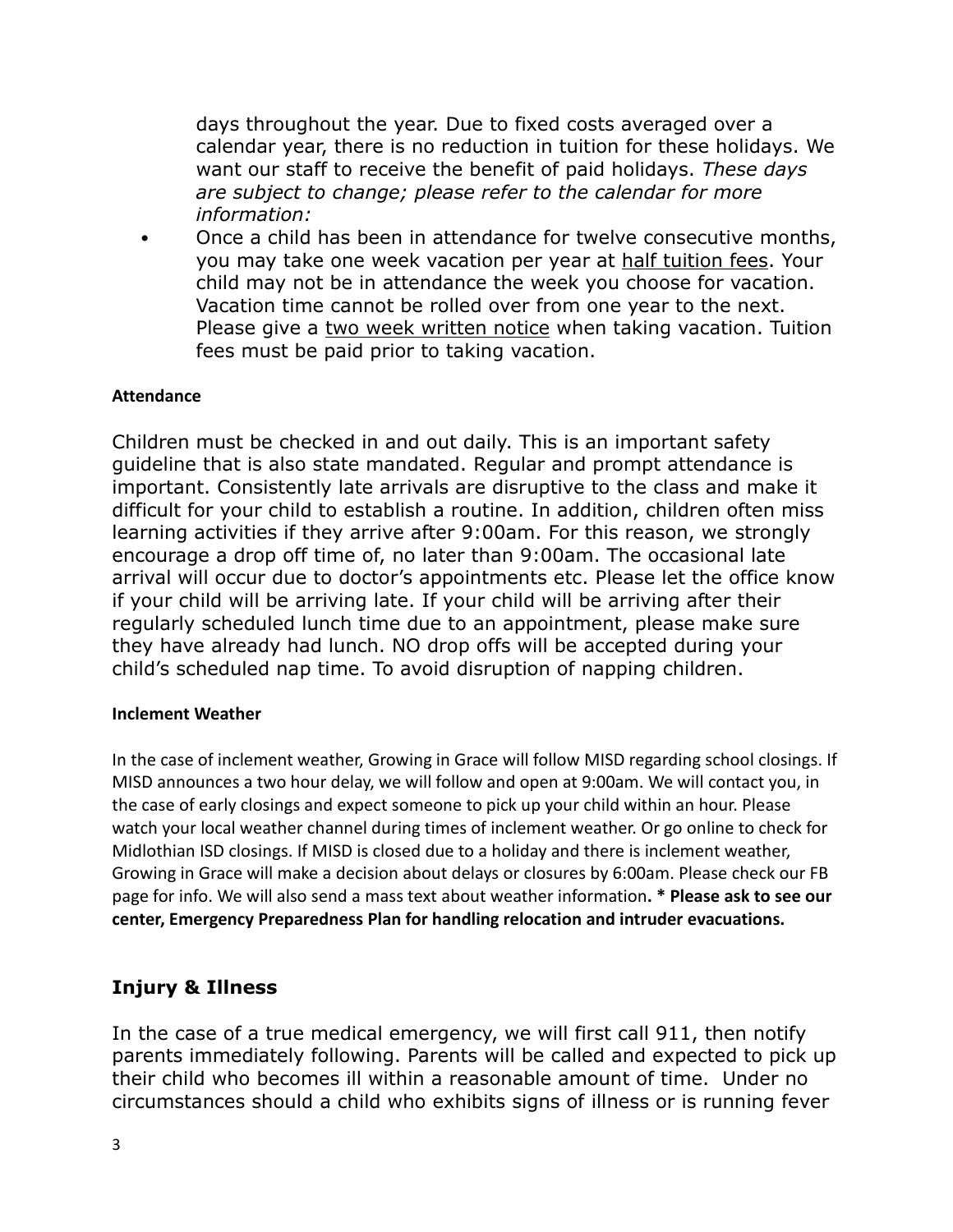days throughout the year. Due to fixed costs averaged over a calendar year, there is no reduction in tuition for these holidays. We want our staff to receive the benefit of paid holidays. *These days are subject to change; please refer to the calendar for more information:*

• Once a child has been in attendance for twelve consecutive months, you may take one week vacation per year at half tuition fees. Your child may not be in attendance the week you choose for vacation. Vacation time cannot be rolled over from one year to the next. Please give a two week written notice when taking vacation. Tuition fees must be paid prior to taking vacation.

### **Attendance**

Children must be checked in and out daily. This is an important safety guideline that is also state mandated. Regular and prompt attendance is important. Consistently late arrivals are disruptive to the class and make it difficult for your child to establish a routine. In addition, children often miss learning activities if they arrive after 9:00am. For this reason, we strongly encourage a drop off time of, no later than 9:00am. The occasional late arrival will occur due to doctor's appointments etc. Please let the office know if your child will be arriving late. If your child will be arriving after their regularly scheduled lunch time due to an appointment, please make sure they have already had lunch. NO drop offs will be accepted during your child's scheduled nap time. To avoid disruption of napping children.

#### **Inclement Weather**

In the case of inclement weather, Growing in Grace will follow MISD regarding school closings. If MISD announces a two hour delay, we will follow and open at 9:00am. We will contact you, in the case of early closings and expect someone to pick up your child within an hour. Please watch your local weather channel during times of inclement weather. Or go online to check for Midlothian ISD closings. If MISD is closed due to a holiday and there is inclement weather, Growing in Grace will make a decision about delays or closures by 6:00am. Please check our FB page for info. We will also send a mass text about weather information**. \* Please ask to see our center, Emergency Preparedness Plan for handling relocation and intruder evacuations.**

## **Injury & Illness**

In the case of a true medical emergency, we will first call 911, then notify parents immediately following. Parents will be called and expected to pick up their child who becomes ill within a reasonable amount of time. Under no circumstances should a child who exhibits signs of illness or is running fever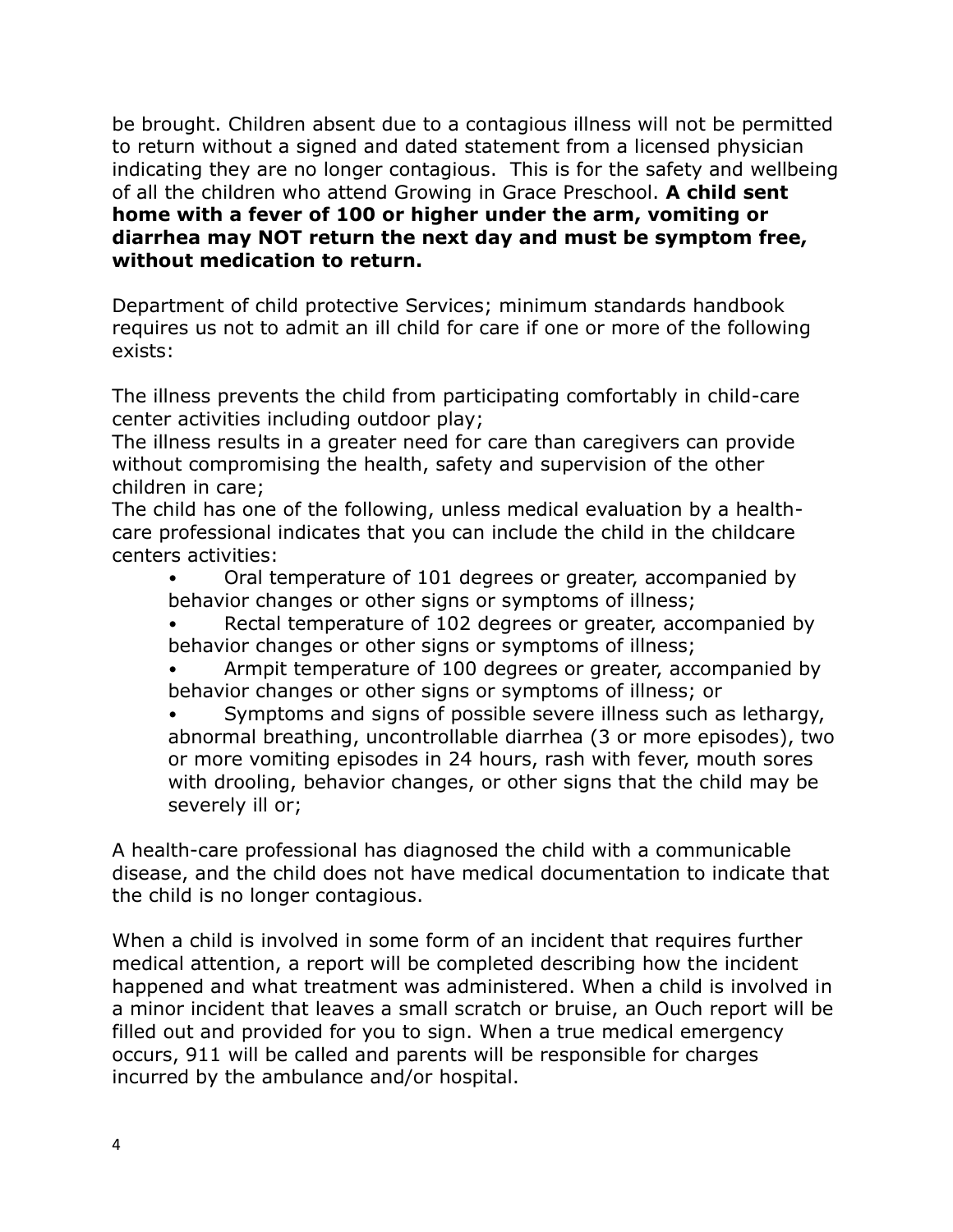be brought. Children absent due to a contagious illness will not be permitted to return without a signed and dated statement from a licensed physician indicating they are no longer contagious. This is for the safety and wellbeing of all the children who attend Growing in Grace Preschool. **A child sent home with a fever of 100 or higher under the arm, vomiting or diarrhea may NOT return the next day and must be symptom free, without medication to return.**

Department of child protective Services; minimum standards handbook requires us not to admit an ill child for care if one or more of the following exists:

The illness prevents the child from participating comfortably in child-care center activities including outdoor play;

The illness results in a greater need for care than caregivers can provide without compromising the health, safety and supervision of the other children in care;

The child has one of the following, unless medical evaluation by a healthcare professional indicates that you can include the child in the childcare centers activities:

- Oral temperature of 101 degrees or greater, accompanied by behavior changes or other signs or symptoms of illness;
- Rectal temperature of 102 degrees or greater, accompanied by behavior changes or other signs or symptoms of illness;
- Armpit temperature of 100 degrees or greater, accompanied by behavior changes or other signs or symptoms of illness; or

Symptoms and signs of possible severe illness such as lethargy, abnormal breathing, uncontrollable diarrhea (3 or more episodes), two or more vomiting episodes in 24 hours, rash with fever, mouth sores with drooling, behavior changes, or other signs that the child may be severely ill or;

A health-care professional has diagnosed the child with a communicable disease, and the child does not have medical documentation to indicate that the child is no longer contagious.

When a child is involved in some form of an incident that requires further medical attention, a report will be completed describing how the incident happened and what treatment was administered. When a child is involved in a minor incident that leaves a small scratch or bruise, an Ouch report will be filled out and provided for you to sign. When a true medical emergency occurs, 911 will be called and parents will be responsible for charges incurred by the ambulance and/or hospital.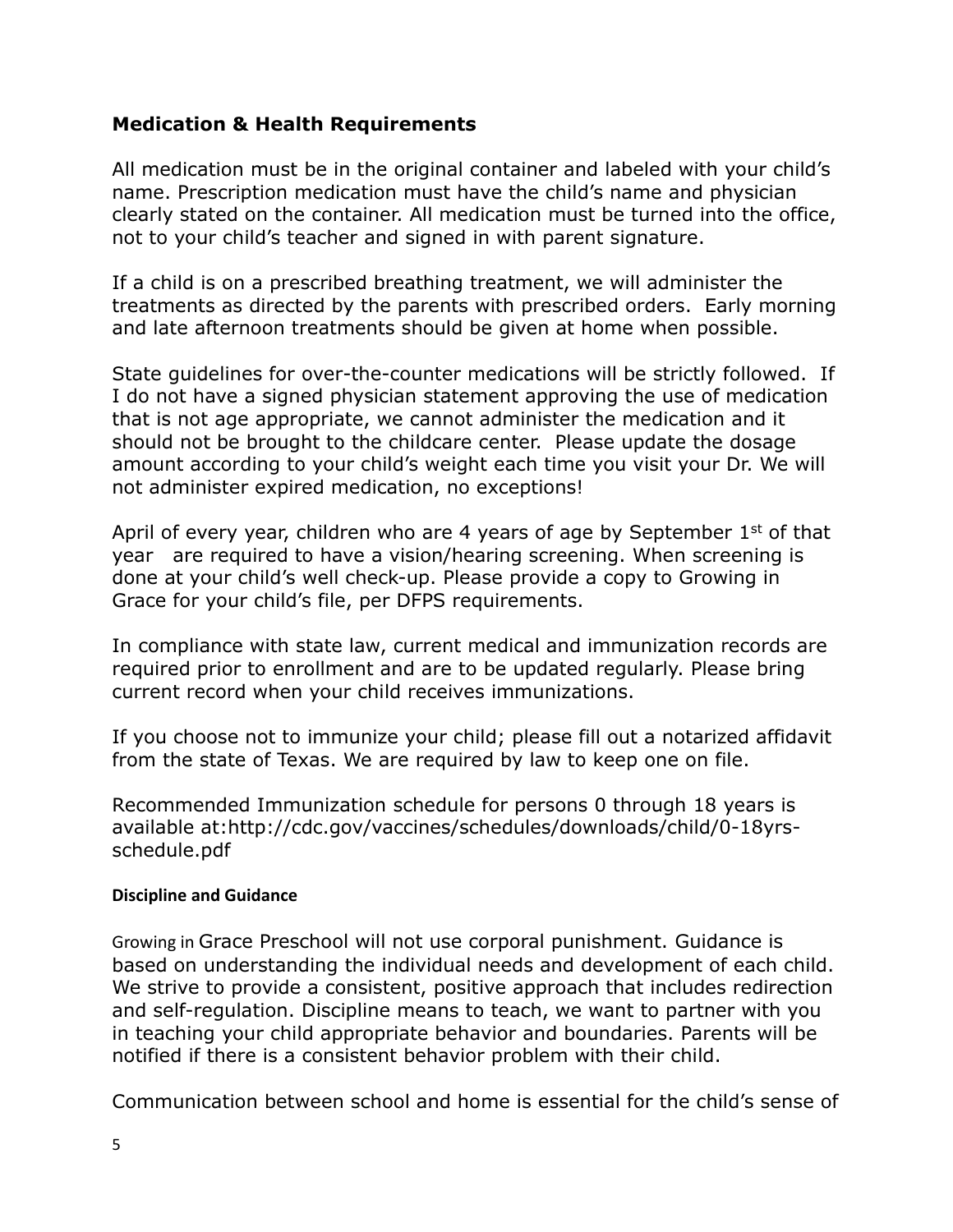# **Medication & Health Requirements**

All medication must be in the original container and labeled with your child's name. Prescription medication must have the child's name and physician clearly stated on the container. All medication must be turned into the office, not to your child's teacher and signed in with parent signature.

If a child is on a prescribed breathing treatment, we will administer the treatments as directed by the parents with prescribed orders. Early morning and late afternoon treatments should be given at home when possible.

State guidelines for over-the-counter medications will be strictly followed. If I do not have a signed physician statement approving the use of medication that is not age appropriate, we cannot administer the medication and it should not be brought to the childcare center. Please update the dosage amount according to your child's weight each time you visit your Dr. We will not administer expired medication, no exceptions!

April of every year, children who are 4 years of age by September  $1<sup>st</sup>$  of that year are required to have a vision/hearing screening. When screening is done at your child's well check-up. Please provide a copy to Growing in Grace for your child's file, per DFPS requirements.

In compliance with state law, current medical and immunization records are required prior to enrollment and are to be updated regularly. Please bring current record when your child receives immunizations.

If you choose not to immunize your child; please fill out a notarized affidavit from the state of Texas. We are required by law to keep one on file.

Recommended Immunization schedule for persons 0 through 18 years is available at:http://cdc.gov/vaccines/schedules/downloads/child/0-18yrsschedule.pdf

## **Discipline and Guidance**

Growing in Grace Preschool will not use corporal punishment. Guidance is based on understanding the individual needs and development of each child. We strive to provide a consistent, positive approach that includes redirection and self-regulation. Discipline means to teach, we want to partner with you in teaching your child appropriate behavior and boundaries. Parents will be notified if there is a consistent behavior problem with their child.

Communication between school and home is essential for the child's sense of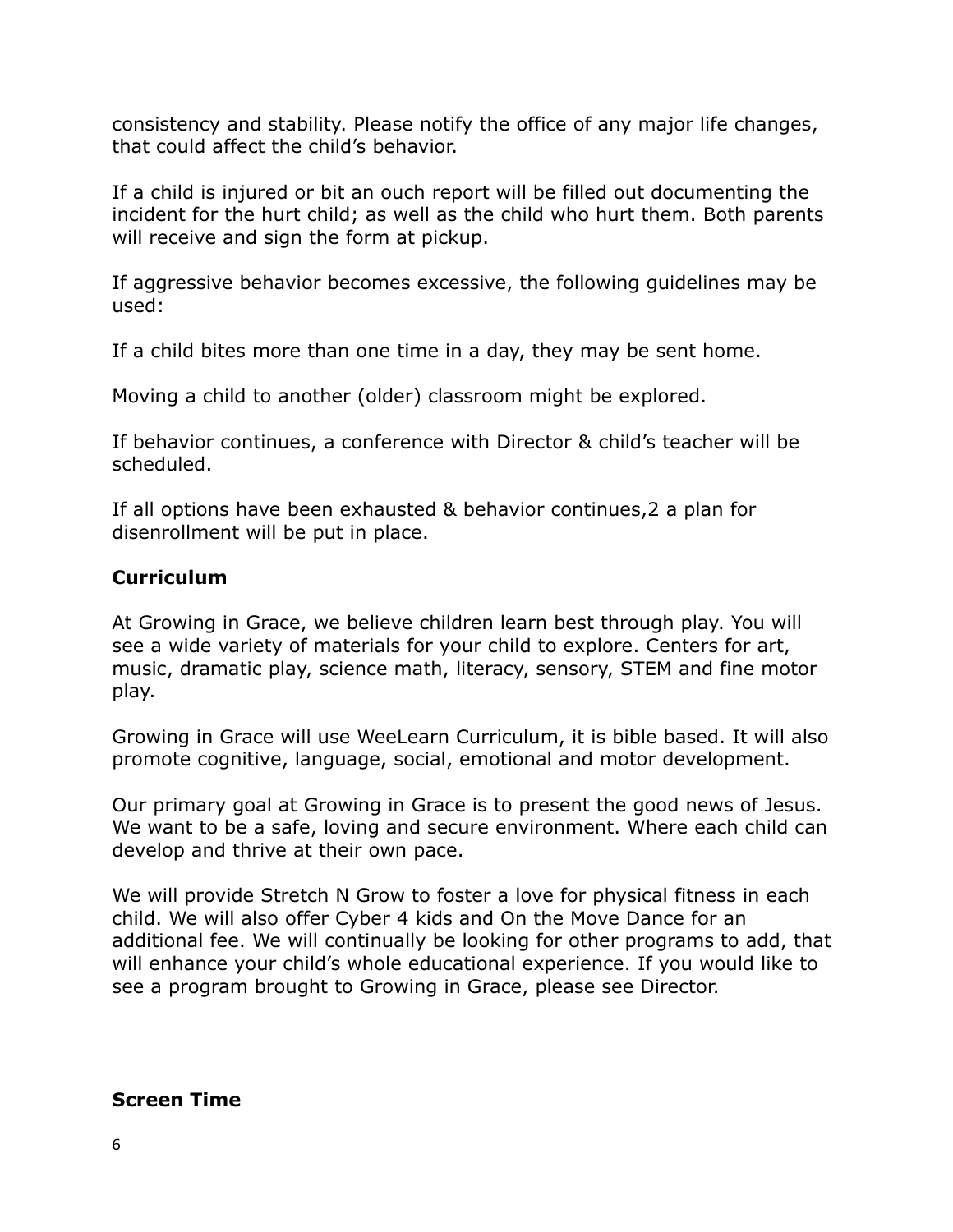consistency and stability. Please notify the office of any major life changes, that could affect the child's behavior.

If a child is injured or bit an ouch report will be filled out documenting the incident for the hurt child; as well as the child who hurt them. Both parents will receive and sign the form at pickup.

If aggressive behavior becomes excessive, the following guidelines may be used:

If a child bites more than one time in a day, they may be sent home.

Moving a child to another (older) classroom might be explored.

If behavior continues, a conference with Director & child's teacher will be scheduled.

If all options have been exhausted & behavior continues,2 a plan for disenrollment will be put in place.

## **Curriculum**

At Growing in Grace, we believe children learn best through play. You will see a wide variety of materials for your child to explore. Centers for art, music, dramatic play, science math, literacy, sensory, STEM and fine motor play.

Growing in Grace will use WeeLearn Curriculum, it is bible based. It will also promote cognitive, language, social, emotional and motor development.

Our primary goal at Growing in Grace is to present the good news of Jesus. We want to be a safe, loving and secure environment. Where each child can develop and thrive at their own pace.

We will provide Stretch N Grow to foster a love for physical fitness in each child. We will also offer Cyber 4 kids and On the Move Dance for an additional fee. We will continually be looking for other programs to add, that will enhance your child's whole educational experience. If you would like to see a program brought to Growing in Grace, please see Director.

## **Screen Time**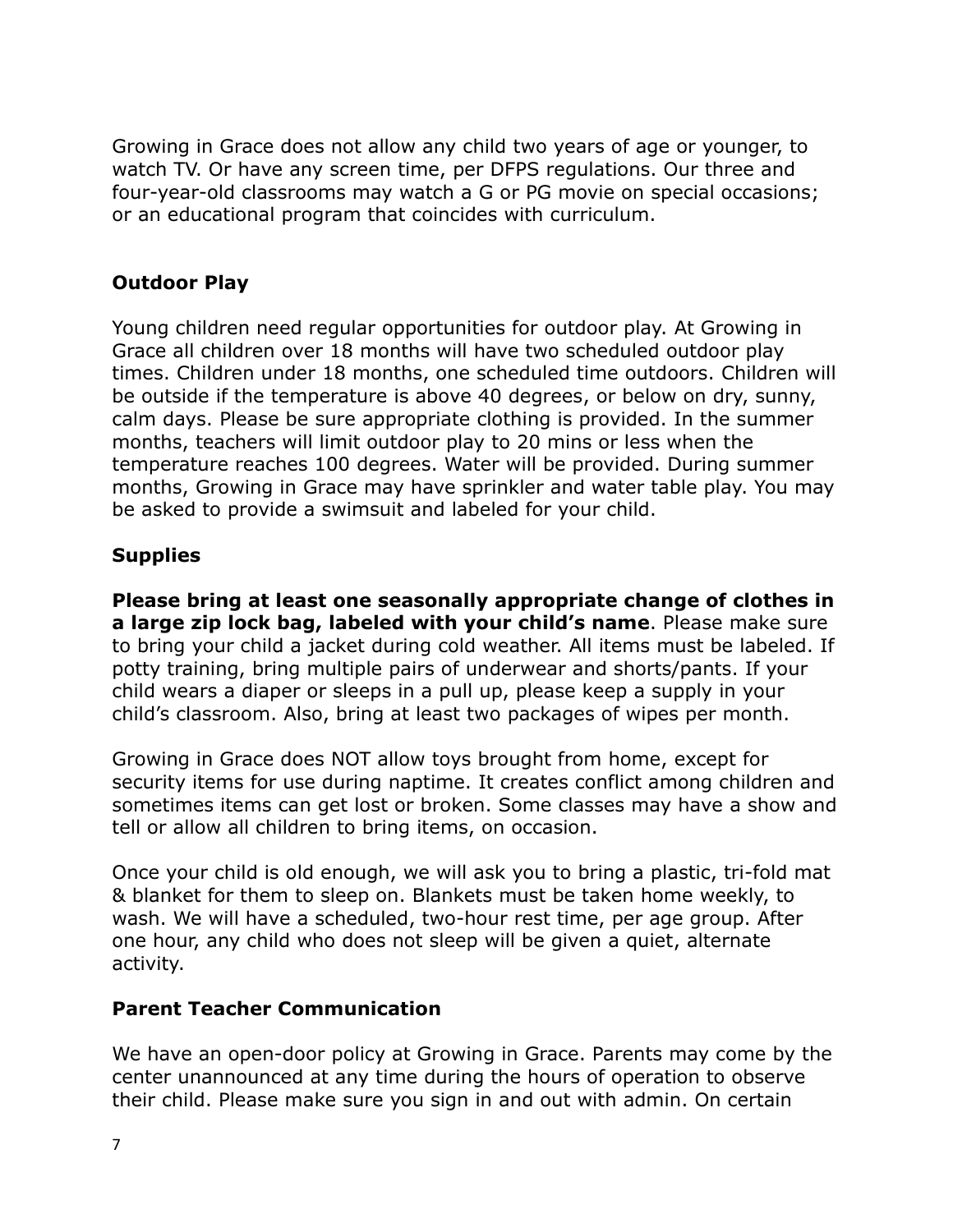Growing in Grace does not allow any child two years of age or younger, to watch TV. Or have any screen time, per DFPS regulations. Our three and four-year-old classrooms may watch a G or PG movie on special occasions; or an educational program that coincides with curriculum.

# **Outdoor Play**

Young children need regular opportunities for outdoor play. At Growing in Grace all children over 18 months will have two scheduled outdoor play times. Children under 18 months, one scheduled time outdoors. Children will be outside if the temperature is above 40 degrees, or below on dry, sunny, calm days. Please be sure appropriate clothing is provided. In the summer months, teachers will limit outdoor play to 20 mins or less when the temperature reaches 100 degrees. Water will be provided. During summer months, Growing in Grace may have sprinkler and water table play. You may be asked to provide a swimsuit and labeled for your child.

# **Supplies**

**Please bring at least one seasonally appropriate change of clothes in a large zip lock bag, labeled with your child's name**. Please make sure to bring your child a jacket during cold weather. All items must be labeled. If potty training, bring multiple pairs of underwear and shorts/pants. If your child wears a diaper or sleeps in a pull up, please keep a supply in your child's classroom. Also, bring at least two packages of wipes per month.

Growing in Grace does NOT allow toys brought from home, except for security items for use during naptime. It creates conflict among children and sometimes items can get lost or broken. Some classes may have a show and tell or allow all children to bring items, on occasion.

Once your child is old enough, we will ask you to bring a plastic, tri-fold mat & blanket for them to sleep on. Blankets must be taken home weekly, to wash. We will have a scheduled, two-hour rest time, per age group. After one hour, any child who does not sleep will be given a quiet, alternate activity.

# **Parent Teacher Communication**

We have an open-door policy at Growing in Grace. Parents may come by the center unannounced at any time during the hours of operation to observe their child. Please make sure you sign in and out with admin. On certain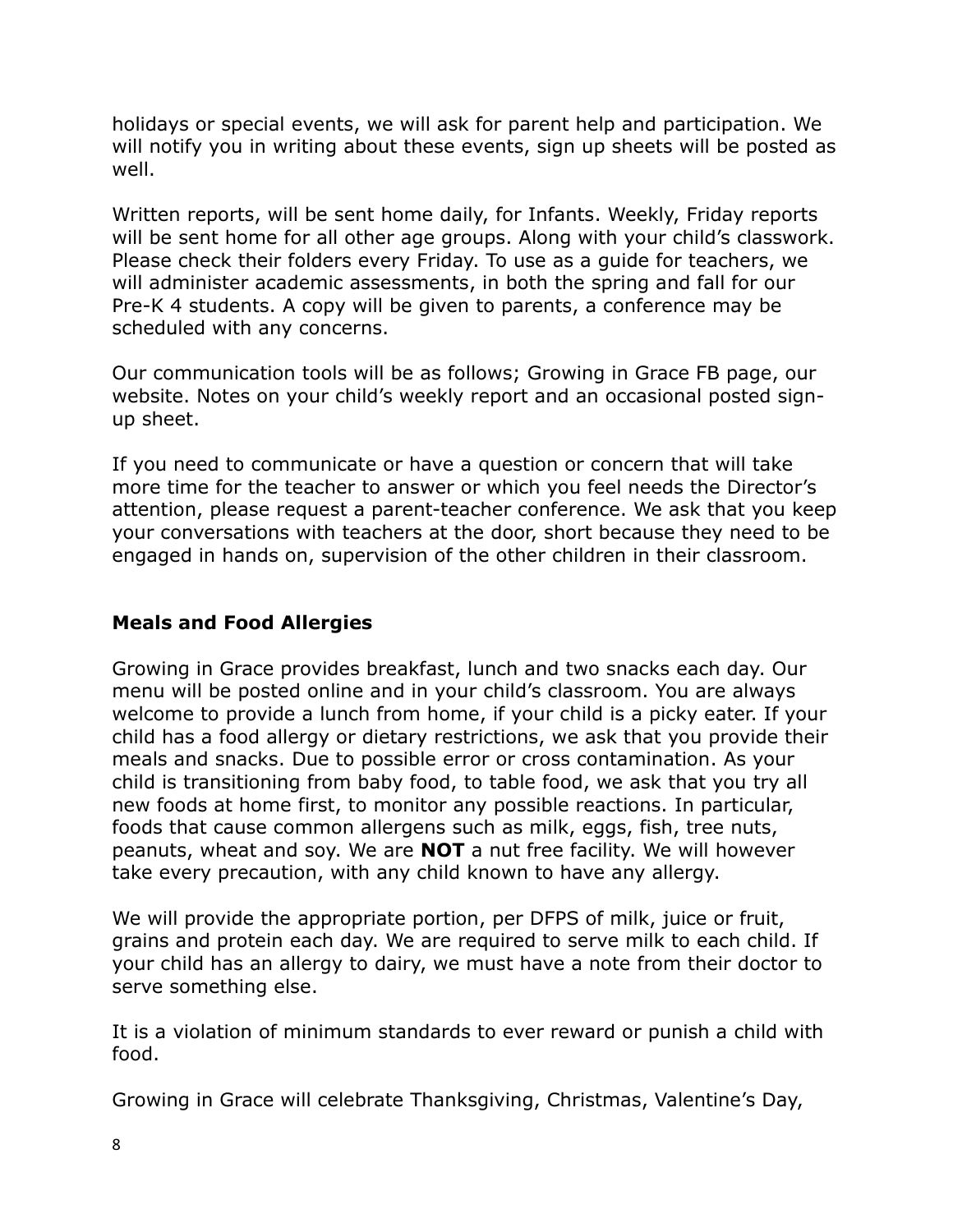holidays or special events, we will ask for parent help and participation. We will notify you in writing about these events, sign up sheets will be posted as well.

Written reports, will be sent home daily, for Infants. Weekly, Friday reports will be sent home for all other age groups. Along with your child's classwork. Please check their folders every Friday. To use as a guide for teachers, we will administer academic assessments, in both the spring and fall for our Pre-K 4 students. A copy will be given to parents, a conference may be scheduled with any concerns.

Our communication tools will be as follows; Growing in Grace FB page, our website. Notes on your child's weekly report and an occasional posted signup sheet.

If you need to communicate or have a question or concern that will take more time for the teacher to answer or which you feel needs the Director's attention, please request a parent-teacher conference. We ask that you keep your conversations with teachers at the door, short because they need to be engaged in hands on, supervision of the other children in their classroom.

# **Meals and Food Allergies**

Growing in Grace provides breakfast, lunch and two snacks each day. Our menu will be posted online and in your child's classroom. You are always welcome to provide a lunch from home, if your child is a picky eater. If your child has a food allergy or dietary restrictions, we ask that you provide their meals and snacks. Due to possible error or cross contamination. As your child is transitioning from baby food, to table food, we ask that you try all new foods at home first, to monitor any possible reactions. In particular, foods that cause common allergens such as milk, eggs, fish, tree nuts, peanuts, wheat and soy. We are **NOT** a nut free facility. We will however take every precaution, with any child known to have any allergy.

We will provide the appropriate portion, per DFPS of milk, juice or fruit, grains and protein each day. We are required to serve milk to each child. If your child has an allergy to dairy, we must have a note from their doctor to serve something else.

It is a violation of minimum standards to ever reward or punish a child with food.

Growing in Grace will celebrate Thanksgiving, Christmas, Valentine's Day,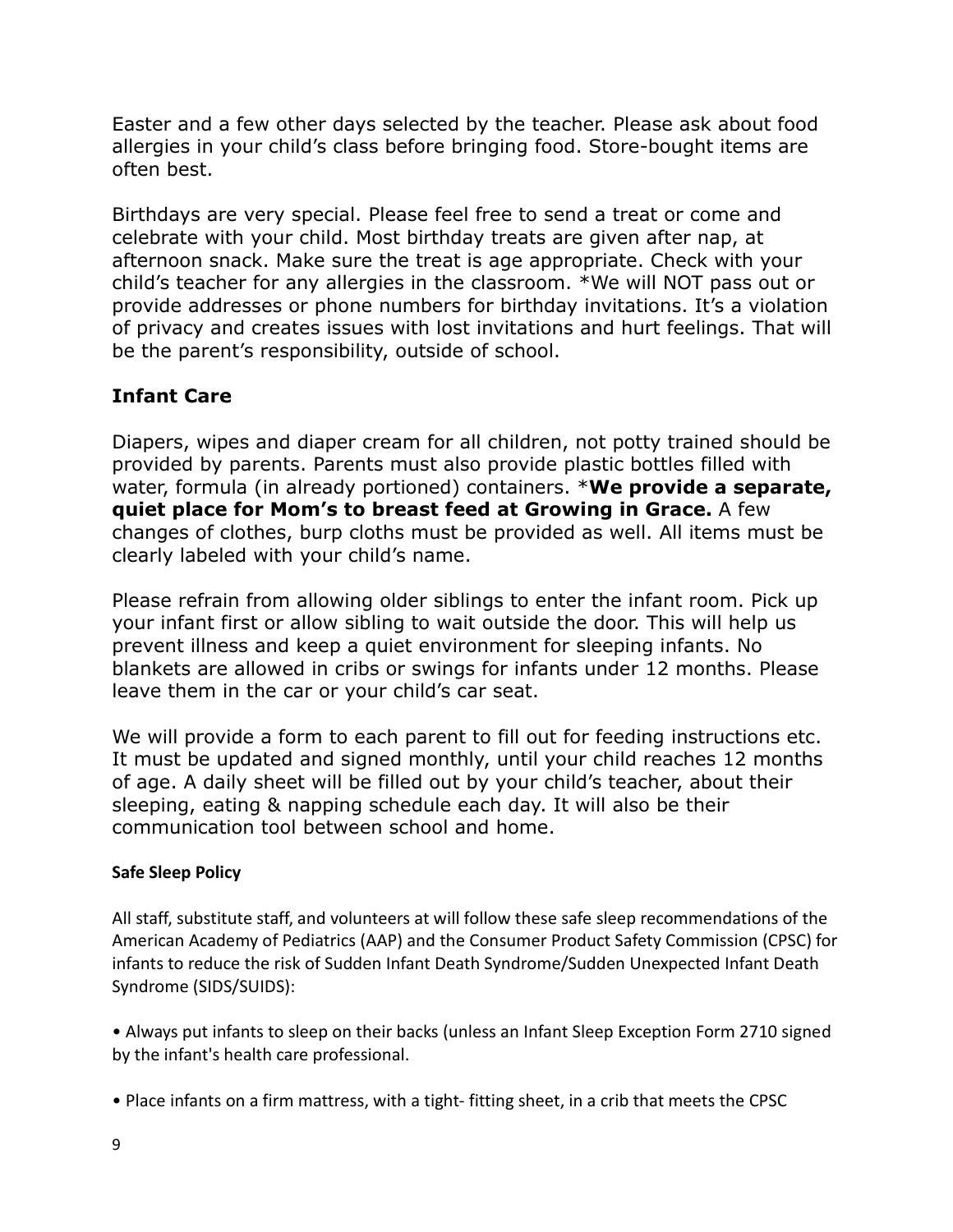Easter and a few other days selected by the teacher. Please ask about food allergies in your child's class before bringing food. Store-bought items are often best.

Birthdays are very special. Please feel free to send a treat or come and celebrate with your child. Most birthday treats are given after nap, at afternoon snack. Make sure the treat is age appropriate. Check with your child's teacher for any allergies in the classroom. \*We will NOT pass out or provide addresses or phone numbers for birthday invitations. It's a violation of privacy and creates issues with lost invitations and hurt feelings. That will be the parent's responsibility, outside of school.

# **Infant Care**

Diapers, wipes and diaper cream for all children, not potty trained should be provided by parents. Parents must also provide plastic bottles filled with water, formula (in already portioned) containers. \***We provide a separate, quiet place for Mom's to breast feed at Growing in Grace.** A few changes of clothes, burp cloths must be provided as well. All items must be clearly labeled with your child's name.

Please refrain from allowing older siblings to enter the infant room. Pick up your infant first or allow sibling to wait outside the door. This will help us prevent illness and keep a quiet environment for sleeping infants. No blankets are allowed in cribs or swings for infants under 12 months. Please leave them in the car or your child's car seat.

We will provide a form to each parent to fill out for feeding instructions etc. It must be updated and signed monthly, until your child reaches 12 months of age. A daily sheet will be filled out by your child's teacher, about their sleeping, eating & napping schedule each day. It will also be their communication tool between school and home.

## **Safe Sleep Policy**

All staff, substitute staff, and volunteers at will follow these safe sleep recommendations of the American Academy of Pediatrics (AAP) and the Consumer Product Safety Commission (CPSC) for infants to reduce the risk of Sudden Infant Death Syndrome/Sudden Unexpected Infant Death Syndrome (SIDS/SUIDS):

• Always put infants to sleep on their backs (unless an Infant Sleep Exception Form 2710 signed by the infant's health care professional.

• Place infants on a firm mattress, with a tight- fitting sheet, in a crib that meets the CPSC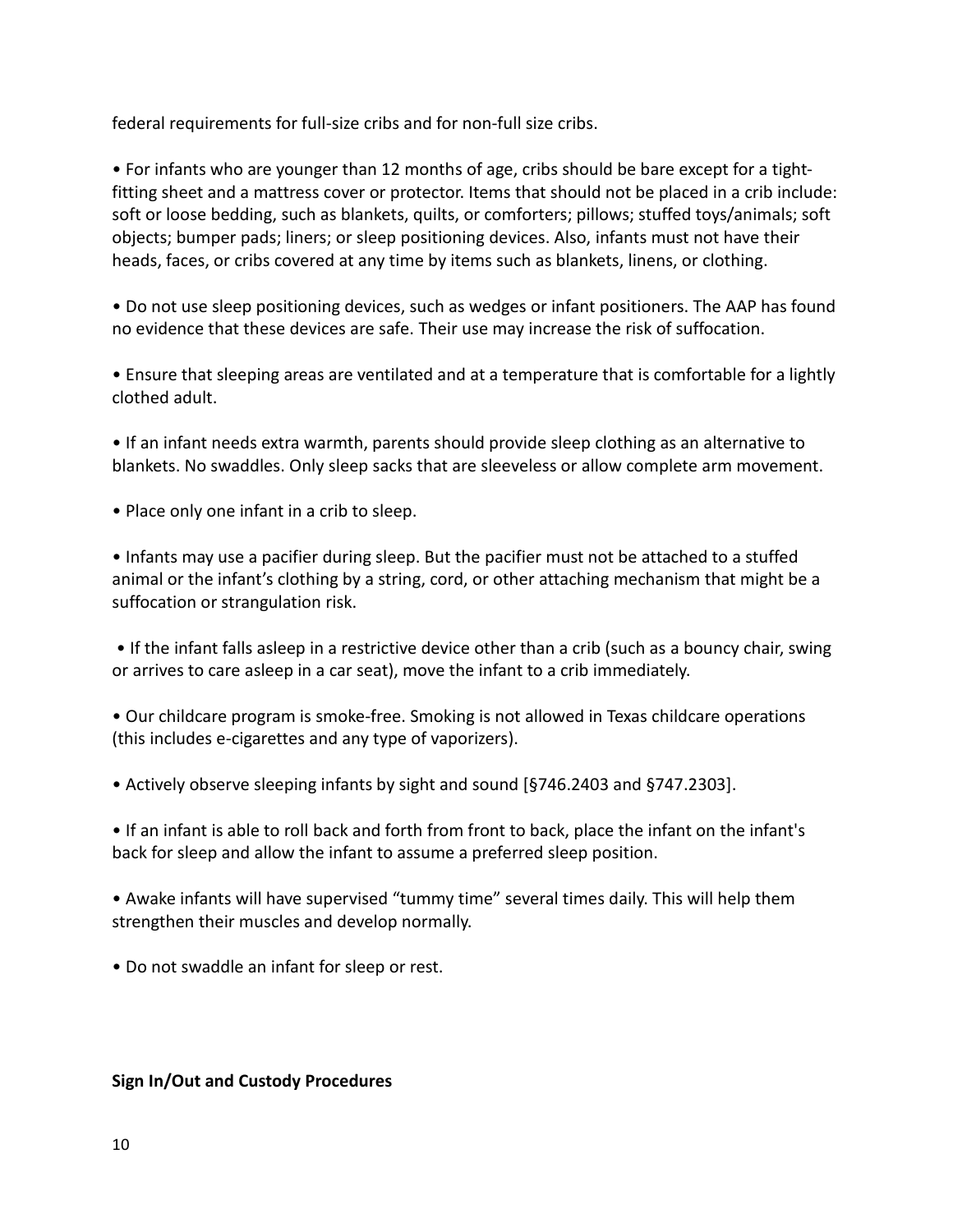federal requirements for full-size cribs and for non-full size cribs.

• For infants who are younger than 12 months of age, cribs should be bare except for a tightfitting sheet and a mattress cover or protector. Items that should not be placed in a crib include: soft or loose bedding, such as blankets, quilts, or comforters; pillows; stuffed toys/animals; soft objects; bumper pads; liners; or sleep positioning devices. Also, infants must not have their heads, faces, or cribs covered at any time by items such as blankets, linens, or clothing.

• Do not use sleep positioning devices, such as wedges or infant positioners. The AAP has found no evidence that these devices are safe. Their use may increase the risk of suffocation.

• Ensure that sleeping areas are ventilated and at a temperature that is comfortable for a lightly clothed adult.

• If an infant needs extra warmth, parents should provide sleep clothing as an alternative to blankets. No swaddles. Only sleep sacks that are sleeveless or allow complete arm movement.

• Place only one infant in a crib to sleep.

• Infants may use a pacifier during sleep. But the pacifier must not be attached to a stuffed animal or the infant's clothing by a string, cord, or other attaching mechanism that might be a suffocation or strangulation risk.

• If the infant falls asleep in a restrictive device other than a crib (such as a bouncy chair, swing or arrives to care asleep in a car seat), move the infant to a crib immediately.

• Our childcare program is smoke-free. Smoking is not allowed in Texas childcare operations (this includes e-cigarettes and any type of vaporizers).

• Actively observe sleeping infants by sight and sound [§746.2403 and §747.2303].

• If an infant is able to roll back and forth from front to back, place the infant on the infant's back for sleep and allow the infant to assume a preferred sleep position.

• Awake infants will have supervised "tummy time" several times daily. This will help them strengthen their muscles and develop normally.

• Do not swaddle an infant for sleep or rest.

#### **Sign In/Out and Custody Procedures**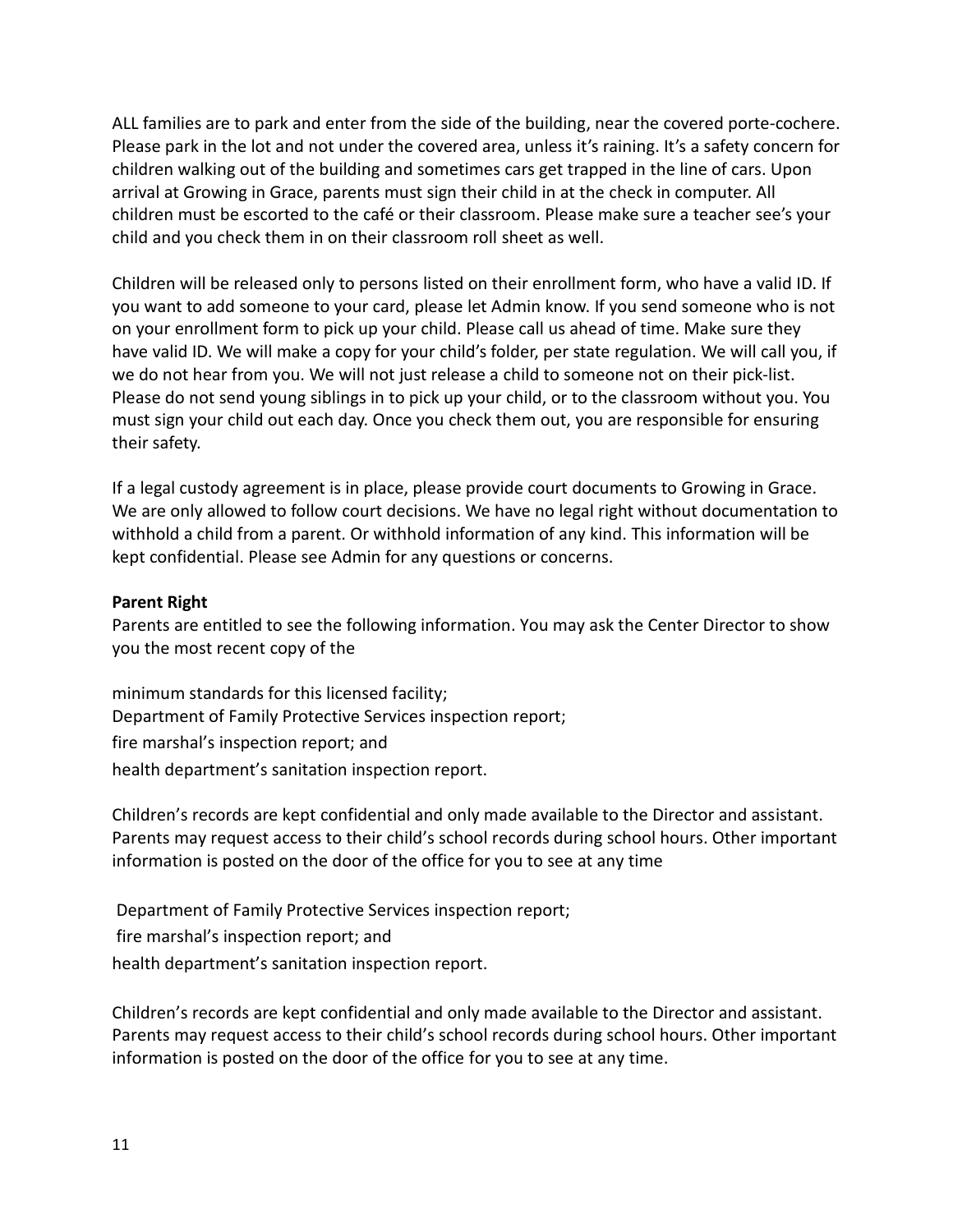ALL families are to park and enter from the side of the building, near the covered porte-cochere. Please park in the lot and not under the covered area, unless it's raining. It's a safety concern for children walking out of the building and sometimes cars get trapped in the line of cars. Upon arrival at Growing in Grace, parents must sign their child in at the check in computer. All children must be escorted to the café or their classroom. Please make sure a teacher see's your child and you check them in on their classroom roll sheet as well.

Children will be released only to persons listed on their enrollment form, who have a valid ID. If you want to add someone to your card, please let Admin know. If you send someone who is not on your enrollment form to pick up your child. Please call us ahead of time. Make sure they have valid ID. We will make a copy for your child's folder, per state regulation. We will call you, if we do not hear from you. We will not just release a child to someone not on their pick-list. Please do not send young siblings in to pick up your child, or to the classroom without you. You must sign your child out each day. Once you check them out, you are responsible for ensuring their safety.

If a legal custody agreement is in place, please provide court documents to Growing in Grace. We are only allowed to follow court decisions. We have no legal right without documentation to withhold a child from a parent. Or withhold information of any kind. This information will be kept confidential. Please see Admin for any questions or concerns.

#### **Parent Right**

Parents are entitled to see the following information. You may ask the Center Director to show you the most recent copy of the

minimum standards for this licensed facility; Department of Family Protective Services inspection report; fire marshal's inspection report; and health department's sanitation inspection report.

Children's records are kept confidential and only made available to the Director and assistant. Parents may request access to their child's school records during school hours. Other important information is posted on the door of the office for you to see at any time

Department of Family Protective Services inspection report; fire marshal's inspection report; and health department's sanitation inspection report.

Children's records are kept confidential and only made available to the Director and assistant. Parents may request access to their child's school records during school hours. Other important information is posted on the door of the office for you to see at any time.